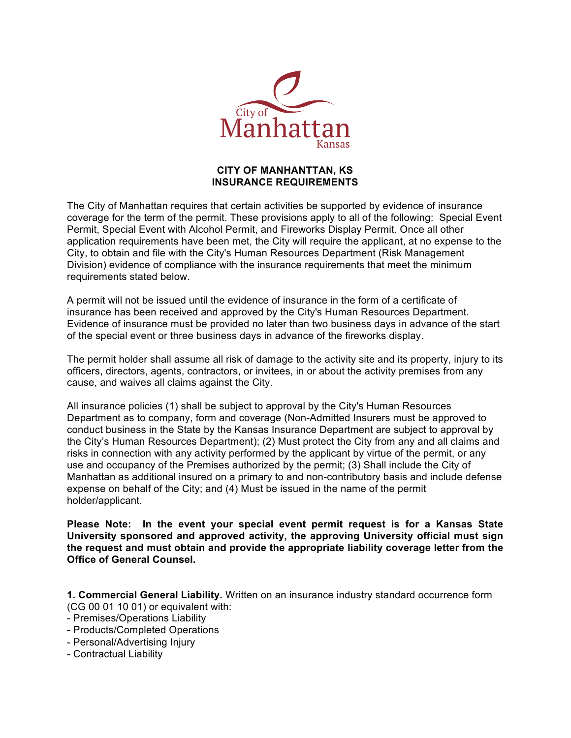

## **CITY OF MANHANTTAN, KS INSURANCE REQUIREMENTS**

The City of Manhattan requires that certain activities be supported by evidence of insurance coverage for the term of the permit. These provisions apply to all of the following: Special Event Permit, Special Event with Alcohol Permit, and Fireworks Display Permit. Once all other application requirements have been met, the City will require the applicant, at no expense to the City, to obtain and file with the City's Human Resources Department (Risk Management Division) evidence of compliance with the insurance requirements that meet the minimum requirements stated below.

A permit will not be issued until the evidence of insurance in the form of a certificate of insurance has been received and approved by the City's Human Resources Department. Evidence of insurance must be provided no later than two business days in advance of the start of the special event or three business days in advance of the fireworks display.

The permit holder shall assume all risk of damage to the activity site and its property, injury to its officers, directors, agents, contractors, or invitees, in or about the activity premises from any cause, and waives all claims against the City.

All insurance policies (1) shall be subject to approval by the City's Human Resources Department as to company, form and coverage (Non-Admitted Insurers must be approved to conduct business in the State by the Kansas Insurance Department are subject to approval by the City's Human Resources Department); (2) Must protect the City from any and all claims and risks in connection with any activity performed by the applicant by virtue of the permit, or any use and occupancy of the Premises authorized by the permit; (3) Shall include the City of Manhattan as additional insured on a primary to and non-contributory basis and include defense expense on behalf of the City; and (4) Must be issued in the name of the permit holder/applicant.

**Please Note: In the event your special event permit request is for a Kansas State University sponsored and approved activity, the approving University official must sign the request and must obtain and provide the appropriate liability coverage letter from the Office of General Counsel.**

**1. Commercial General Liability.** Written on an insurance industry standard occurrence form (CG 00 01 10 01) or equivalent with:

- Premises/Operations Liability
- Products/Completed Operations
- Personal/Advertising Injury
- Contractual Liability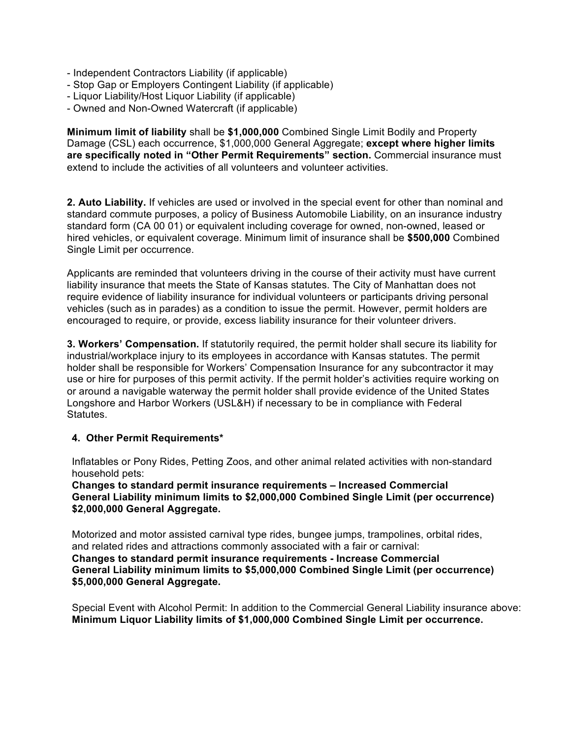- Independent Contractors Liability (if applicable)
- Stop Gap or Employers Contingent Liability (if applicable)
- Liquor Liability/Host Liquor Liability (if applicable)
- Owned and Non-Owned Watercraft (if applicable)

**Minimum limit of liability** shall be **\$1,000,000** Combined Single Limit Bodily and Property Damage (CSL) each occurrence, \$1,000,000 General Aggregate; **except where higher limits are specifically noted in "Other Permit Requirements" section.** Commercial insurance must extend to include the activities of all volunteers and volunteer activities.

**2. Auto Liability.** If vehicles are used or involved in the special event for other than nominal and standard commute purposes, a policy of Business Automobile Liability, on an insurance industry standard form (CA 00 01) or equivalent including coverage for owned, non-owned, leased or hired vehicles, or equivalent coverage. Minimum limit of insurance shall be **\$500,000** Combined Single Limit per occurrence.

Applicants are reminded that volunteers driving in the course of their activity must have current liability insurance that meets the State of Kansas statutes. The City of Manhattan does not require evidence of liability insurance for individual volunteers or participants driving personal vehicles (such as in parades) as a condition to issue the permit. However, permit holders are encouraged to require, or provide, excess liability insurance for their volunteer drivers.

**3. Workers' Compensation.** If statutorily required, the permit holder shall secure its liability for industrial/workplace injury to its employees in accordance with Kansas statutes. The permit holder shall be responsible for Workers' Compensation Insurance for any subcontractor it may use or hire for purposes of this permit activity. If the permit holder's activities require working on or around a navigable waterway the permit holder shall provide evidence of the United States Longshore and Harbor Workers (USL&H) if necessary to be in compliance with Federal Statutes.

## **4. Other Permit Requirements\***

Inflatables or Pony Rides, Petting Zoos, and other animal related activities with non-standard household pets:

**Changes to standard permit insurance requirements – Increased Commercial General Liability minimum limits to \$2,000,000 Combined Single Limit (per occurrence) \$2,000,000 General Aggregate.**

Motorized and motor assisted carnival type rides, bungee jumps, trampolines, orbital rides, and related rides and attractions commonly associated with a fair or carnival: **Changes to standard permit insurance requirements - Increase Commercial General Liability minimum limits to \$5,000,000 Combined Single Limit (per occurrence) \$5,000,000 General Aggregate.**

Special Event with Alcohol Permit: In addition to the Commercial General Liability insurance above: **Minimum Liquor Liability limits of \$1,000,000 Combined Single Limit per occurrence.**